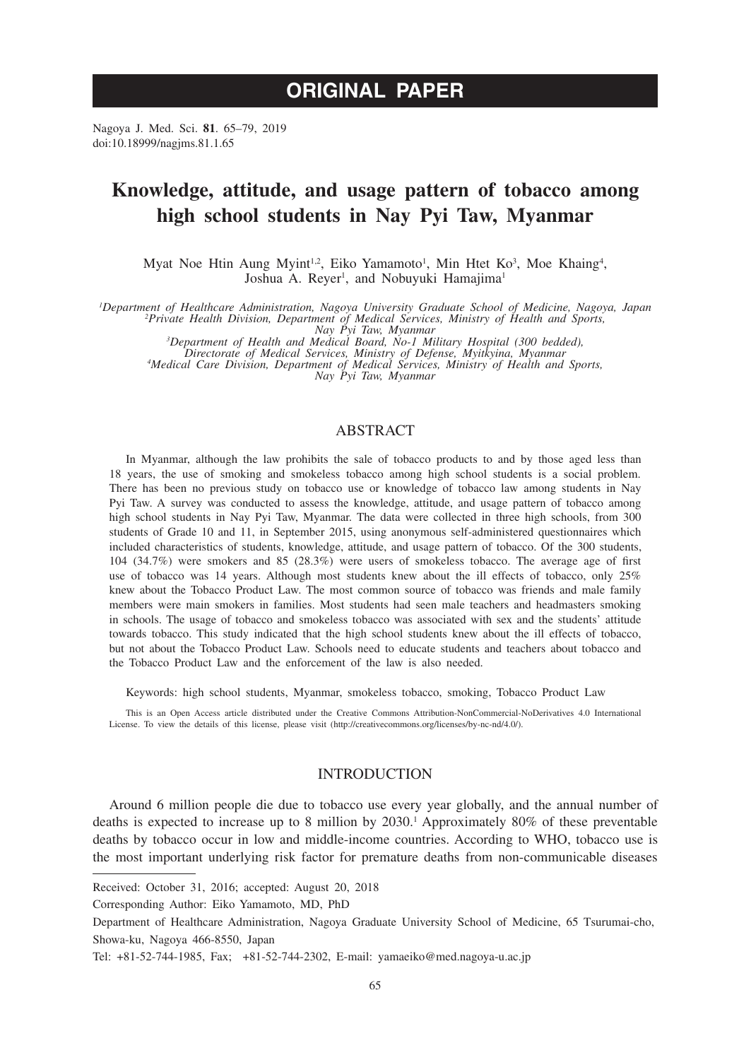# **ORIGINAL PAPER**

Nagoya J. Med. Sci. **81**. 65–79, 2019 doi:10.18999/nagjms.81.1.65

# **Knowledge, attitude, and usage pattern of tobacco among high school students in Nay Pyi Taw, Myanmar**

Myat Noe Htin Aung Myint<sup>1,2</sup>, Eiko Yamamoto<sup>1</sup>, Min Htet Ko<sup>3</sup>, Moe Khaing<sup>4</sup>, Joshua A. Reyer<sup>1</sup>, and Nobuyuki Hamajima<sup>1</sup>

*1 Department of Healthcare Administration, Nagoya University Graduate School of Medicine, Nagoya, Japan <sup>2</sup> Private Health Division, Department of Medical Services, Ministry of Health and Sports,* 

Nay Pyi Taw, Myanmar<br>3Department of Health and Medical Board, No-1 Military Hospital (300 bedded),<br>Directorate of Medical Services, Ministry of Defense, Myitkyina, Myanmar<br>4Medical Care Division, Department of Medical Serv

## ABSTRACT

In Myanmar, although the law prohibits the sale of tobacco products to and by those aged less than 18 years, the use of smoking and smokeless tobacco among high school students is a social problem. There has been no previous study on tobacco use or knowledge of tobacco law among students in Nay Pyi Taw. A survey was conducted to assess the knowledge, attitude, and usage pattern of tobacco among high school students in Nay Pyi Taw, Myanmar. The data were collected in three high schools, from 300 students of Grade 10 and 11, in September 2015, using anonymous self-administered questionnaires which included characteristics of students, knowledge, attitude, and usage pattern of tobacco. Of the 300 students, 104 (34.7%) were smokers and 85 (28.3%) were users of smokeless tobacco. The average age of first use of tobacco was 14 years. Although most students knew about the ill effects of tobacco, only 25% knew about the Tobacco Product Law. The most common source of tobacco was friends and male family members were main smokers in families. Most students had seen male teachers and headmasters smoking in schools. The usage of tobacco and smokeless tobacco was associated with sex and the students' attitude towards tobacco. This study indicated that the high school students knew about the ill effects of tobacco, but not about the Tobacco Product Law. Schools need to educate students and teachers about tobacco and the Tobacco Product Law and the enforcement of the law is also needed.

Keywords: high school students, Myanmar, smokeless tobacco, smoking, Tobacco Product Law

This is an Open Access article distributed under the Creative Commons Attribution-NonCommercial-NoDerivatives 4.0 International License. To view the details of this license, please visit (http://creativecommons.org/licenses/by-nc-nd/4.0/).

## INTRODUCTION

Around 6 million people die due to tobacco use every year globally, and the annual number of deaths is expected to increase up to 8 million by 2030.<sup>1</sup> Approximately 80% of these preventable deaths by tobacco occur in low and middle-income countries. According to WHO, tobacco use is the most important underlying risk factor for premature deaths from non-communicable diseases

Received: October 31, 2016; accepted: August 20, 2018

Corresponding Author: Eiko Yamamoto, MD, PhD

Department of Healthcare Administration, Nagoya Graduate University School of Medicine, 65 Tsurumai-cho, Showa-ku, Nagoya 466-8550, Japan

Tel: +81-52-744-1985, Fax; +81-52-744-2302, E-mail: yamaeiko@med.nagoya-u.ac.jp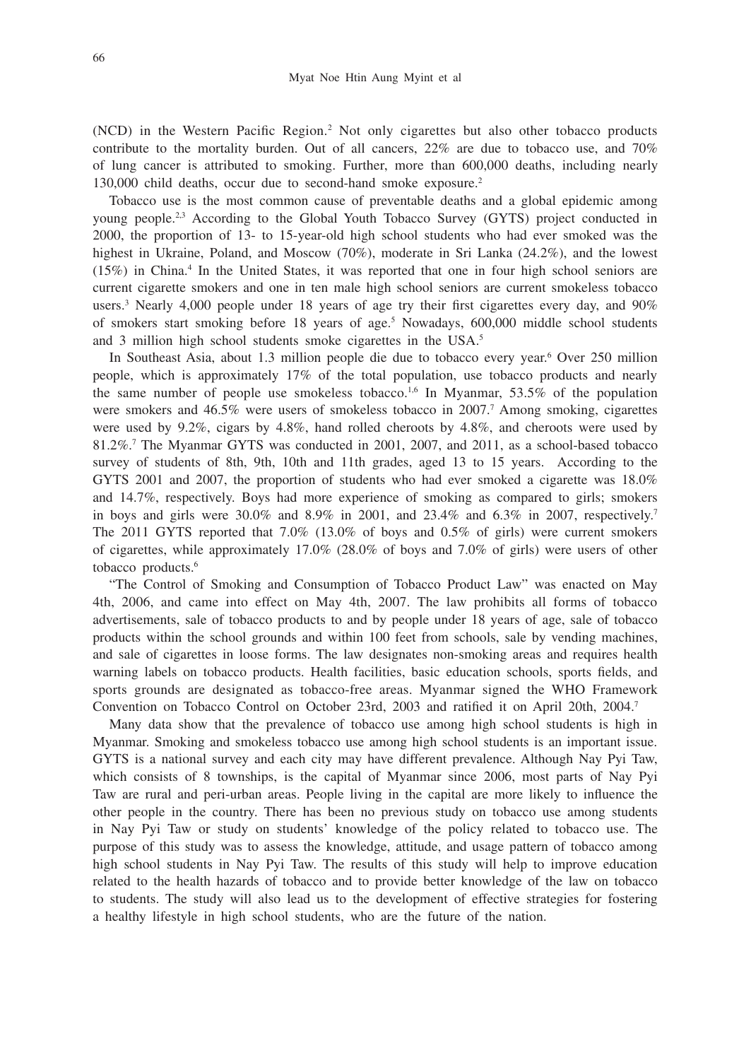(NCD) in the Western Pacific Region.2 Not only cigarettes but also other tobacco products contribute to the mortality burden. Out of all cancers, 22% are due to tobacco use, and 70% of lung cancer is attributed to smoking. Further, more than 600,000 deaths, including nearly 130,000 child deaths, occur due to second-hand smoke exposure.2

Tobacco use is the most common cause of preventable deaths and a global epidemic among young people.2,3 According to the Global Youth Tobacco Survey (GYTS) project conducted in 2000, the proportion of 13- to 15-year-old high school students who had ever smoked was the highest in Ukraine, Poland, and Moscow (70%), moderate in Sri Lanka (24.2%), and the lowest (15%) in China.4 In the United States, it was reported that one in four high school seniors are current cigarette smokers and one in ten male high school seniors are current smokeless tobacco users.<sup>3</sup> Nearly 4,000 people under 18 years of age try their first cigarettes every day, and 90% of smokers start smoking before 18 years of age.<sup>5</sup> Nowadays, 600,000 middle school students and 3 million high school students smoke cigarettes in the USA.<sup>5</sup>

In Southeast Asia, about 1.3 million people die due to tobacco every year.6 Over 250 million people, which is approximately 17% of the total population, use tobacco products and nearly the same number of people use smokeless tobacco.<sup>1,6</sup> In Myanmar,  $53.5\%$  of the population were smokers and 46.5% were users of smokeless tobacco in 2007.<sup>7</sup> Among smoking, cigarettes were used by 9.2%, cigars by 4.8%, hand rolled cheroots by 4.8%, and cheroots were used by 81.2%.7 The Myanmar GYTS was conducted in 2001, 2007, and 2011, as a school-based tobacco survey of students of 8th, 9th, 10th and 11th grades, aged 13 to 15 years. According to the GYTS 2001 and 2007, the proportion of students who had ever smoked a cigarette was 18.0% and 14.7%, respectively. Boys had more experience of smoking as compared to girls; smokers in boys and girls were 30.0% and 8.9% in 2001, and 23.4% and 6.3% in 2007, respectively.<sup>7</sup> The 2011 GYTS reported that 7.0% (13.0% of boys and 0.5% of girls) were current smokers of cigarettes, while approximately 17.0% (28.0% of boys and 7.0% of girls) were users of other tobacco products.<sup>6</sup>

"The Control of Smoking and Consumption of Tobacco Product Law" was enacted on May 4th, 2006, and came into effect on May 4th, 2007. The law prohibits all forms of tobacco advertisements, sale of tobacco products to and by people under 18 years of age, sale of tobacco products within the school grounds and within 100 feet from schools, sale by vending machines, and sale of cigarettes in loose forms. The law designates non-smoking areas and requires health warning labels on tobacco products. Health facilities, basic education schools, sports fields, and sports grounds are designated as tobacco-free areas. Myanmar signed the WHO Framework Convention on Tobacco Control on October 23rd, 2003 and ratified it on April 20th, 2004.7

Many data show that the prevalence of tobacco use among high school students is high in Myanmar. Smoking and smokeless tobacco use among high school students is an important issue. GYTS is a national survey and each city may have different prevalence. Although Nay Pyi Taw, which consists of 8 townships, is the capital of Myanmar since 2006, most parts of Nay Pyi Taw are rural and peri-urban areas. People living in the capital are more likely to influence the other people in the country. There has been no previous study on tobacco use among students in Nay Pyi Taw or study on students' knowledge of the policy related to tobacco use. The purpose of this study was to assess the knowledge, attitude, and usage pattern of tobacco among high school students in Nay Pyi Taw. The results of this study will help to improve education related to the health hazards of tobacco and to provide better knowledge of the law on tobacco to students. The study will also lead us to the development of effective strategies for fostering a healthy lifestyle in high school students, who are the future of the nation.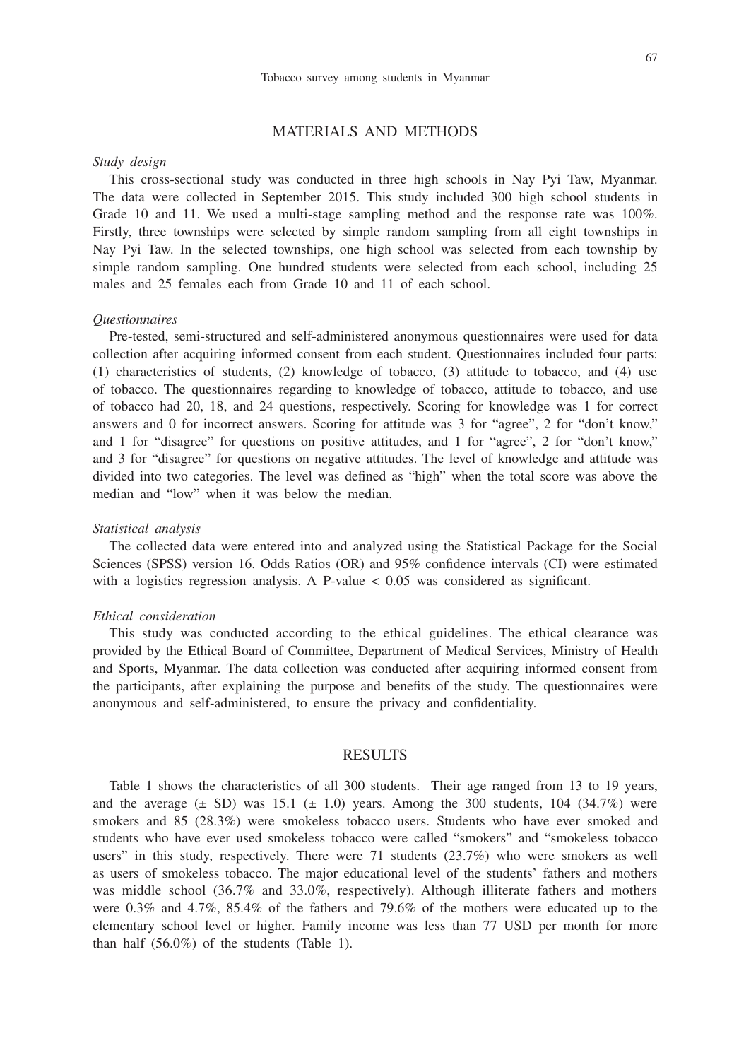## MATERIALS AND METHODS

### *Study design*

This cross-sectional study was conducted in three high schools in Nay Pyi Taw, Myanmar. The data were collected in September 2015. This study included 300 high school students in Grade 10 and 11. We used a multi-stage sampling method and the response rate was 100%. Firstly, three townships were selected by simple random sampling from all eight townships in Nay Pyi Taw. In the selected townships, one high school was selected from each township by simple random sampling. One hundred students were selected from each school, including 25 males and 25 females each from Grade 10 and 11 of each school.

#### *Questionnaires*

Pre-tested, semi-structured and self-administered anonymous questionnaires were used for data collection after acquiring informed consent from each student. Questionnaires included four parts: (1) characteristics of students, (2) knowledge of tobacco, (3) attitude to tobacco, and (4) use of tobacco. The questionnaires regarding to knowledge of tobacco, attitude to tobacco, and use of tobacco had 20, 18, and 24 questions, respectively. Scoring for knowledge was 1 for correct answers and 0 for incorrect answers. Scoring for attitude was 3 for "agree", 2 for "don't know," and 1 for "disagree" for questions on positive attitudes, and 1 for "agree", 2 for "don't know," and 3 for "disagree" for questions on negative attitudes. The level of knowledge and attitude was divided into two categories. The level was defined as "high" when the total score was above the median and "low" when it was below the median.

#### *Statistical analysis*

The collected data were entered into and analyzed using the Statistical Package for the Social Sciences (SPSS) version 16. Odds Ratios (OR) and 95% confidence intervals (CI) were estimated with a logistics regression analysis. A P-value  $< 0.05$  was considered as significant.

#### *Ethical consideration*

This study was conducted according to the ethical guidelines. The ethical clearance was provided by the Ethical Board of Committee, Department of Medical Services, Ministry of Health and Sports, Myanmar. The data collection was conducted after acquiring informed consent from the participants, after explaining the purpose and benefits of the study. The questionnaires were anonymous and self-administered, to ensure the privacy and confidentiality.

## RESULTS

Table 1 shows the characteristics of all 300 students. Their age ranged from 13 to 19 years, and the average  $(\pm$  SD) was 15.1  $(\pm$  1.0) years. Among the 300 students, 104 (34.7%) were smokers and 85 (28.3%) were smokeless tobacco users. Students who have ever smoked and students who have ever used smokeless tobacco were called "smokers" and "smokeless tobacco users" in this study, respectively. There were 71 students (23.7%) who were smokers as well as users of smokeless tobacco. The major educational level of the students' fathers and mothers was middle school (36.7% and 33.0%, respectively). Although illiterate fathers and mothers were 0.3% and 4.7%, 85.4% of the fathers and 79.6% of the mothers were educated up to the elementary school level or higher. Family income was less than 77 USD per month for more than half (56.0%) of the students (Table 1).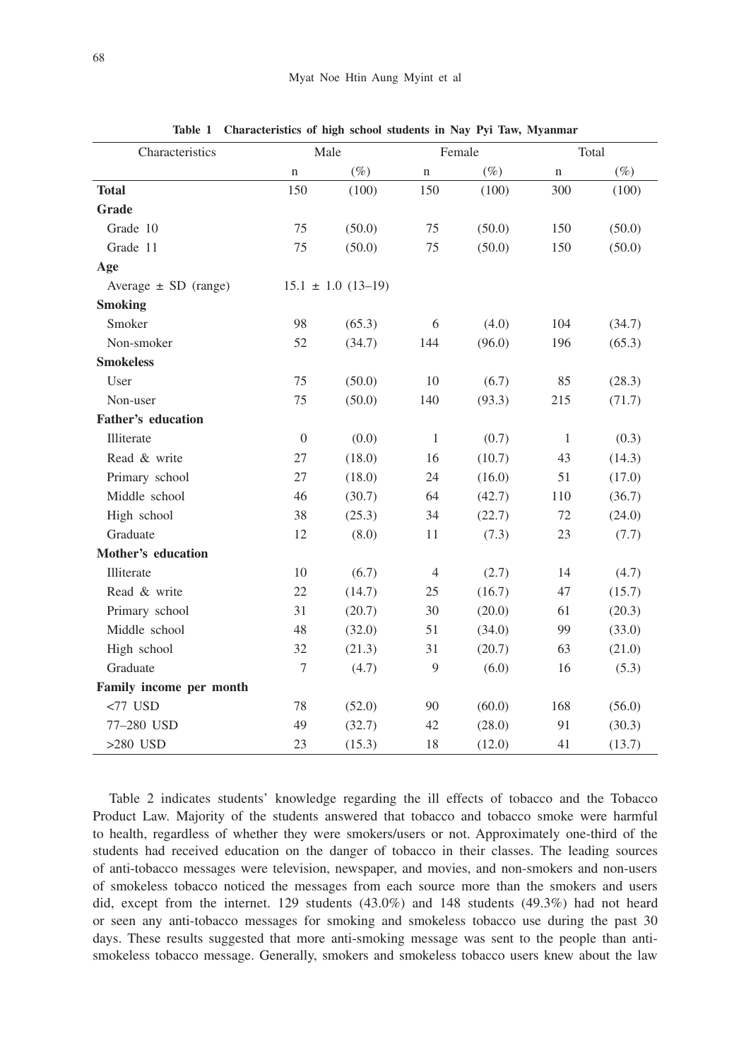| Characteristics           |                  | Male                     | Female         |        |              | Total  |
|---------------------------|------------------|--------------------------|----------------|--------|--------------|--------|
|                           | $\mathbf n$      | $(\%)$                   | n              | $(\%)$ | $\mathbf n$  | $(\%)$ |
| <b>Total</b>              | 150              | (100)                    | 150            | (100)  | 300          | (100)  |
| Grade                     |                  |                          |                |        |              |        |
| Grade 10                  | 75               | (50.0)                   | 75             | (50.0) | 150          | (50.0) |
| Grade 11                  | 75               | (50.0)                   | 75             | (50.0) | 150          | (50.0) |
| Age                       |                  |                          |                |        |              |        |
| Average $\pm$ SD (range)  |                  | $15.1 \pm 1.0 (13 - 19)$ |                |        |              |        |
| <b>Smoking</b>            |                  |                          |                |        |              |        |
| Smoker                    | 98               | (65.3)                   | 6              | (4.0)  | 104          | (34.7) |
| Non-smoker                | 52               | (34.7)                   | 144            | (96.0) | 196          | (65.3) |
| <b>Smokeless</b>          |                  |                          |                |        |              |        |
| User                      | 75               | (50.0)                   | 10             | (6.7)  | 85           | (28.3) |
| Non-user                  | 75               | (50.0)                   | 140            | (93.3) | 215          | (71.7) |
| <b>Father's education</b> |                  |                          |                |        |              |        |
| Illiterate                | $\boldsymbol{0}$ | (0.0)                    | $\mathbf{1}$   | (0.7)  | $\mathbf{1}$ | (0.3)  |
| Read & write              | 27               | (18.0)                   | 16             | (10.7) | 43           | (14.3) |
| Primary school            | 27               | (18.0)                   | 24             | (16.0) | 51           | (17.0) |
| Middle school             | 46               | (30.7)                   | 64             | (42.7) | 110          | (36.7) |
| High school               | 38               | (25.3)                   | 34             | (22.7) | 72           | (24.0) |
| Graduate                  | 12               | (8.0)                    | 11             | (7.3)  | 23           | (7.7)  |
| Mother's education        |                  |                          |                |        |              |        |
| Illiterate                | 10               | (6.7)                    | $\overline{4}$ | (2.7)  | 14           | (4.7)  |
| Read & write              | 22               | (14.7)                   | 25             | (16.7) | 47           | (15.7) |
| Primary school            | 31               | (20.7)                   | 30             | (20.0) | 61           | (20.3) |
| Middle school             | 48               | (32.0)                   | 51             | (34.0) | 99           | (33.0) |
| High school               | 32               | (21.3)                   | 31             | (20.7) | 63           | (21.0) |
| Graduate                  | $\boldsymbol{7}$ | (4.7)                    | 9              | (6.0)  | 16           | (5.3)  |
| Family income per month   |                  |                          |                |        |              |        |
| $<77$ USD                 | 78               | (52.0)                   | 90             | (60.0) | 168          | (56.0) |
| 77-280 USD                | 49               | (32.7)                   | 42             | (28.0) | 91           | (30.3) |
| $>280$ USD                | 23               | (15.3)                   | 18             | (12.0) | 41           | (13.7) |

**Table 1 Characteristics of high school students in Nay Pyi Taw, Myanmar**

Table 2 indicates students' knowledge regarding the ill effects of tobacco and the Tobacco Product Law. Majority of the students answered that tobacco and tobacco smoke were harmful to health, regardless of whether they were smokers/users or not. Approximately one-third of the students had received education on the danger of tobacco in their classes. The leading sources of anti-tobacco messages were television, newspaper, and movies, and non-smokers and non-users of smokeless tobacco noticed the messages from each source more than the smokers and users did, except from the internet. 129 students (43.0%) and 148 students (49.3%) had not heard or seen any anti-tobacco messages for smoking and smokeless tobacco use during the past 30 days. These results suggested that more anti-smoking message was sent to the people than antismokeless tobacco message. Generally, smokers and smokeless tobacco users knew about the law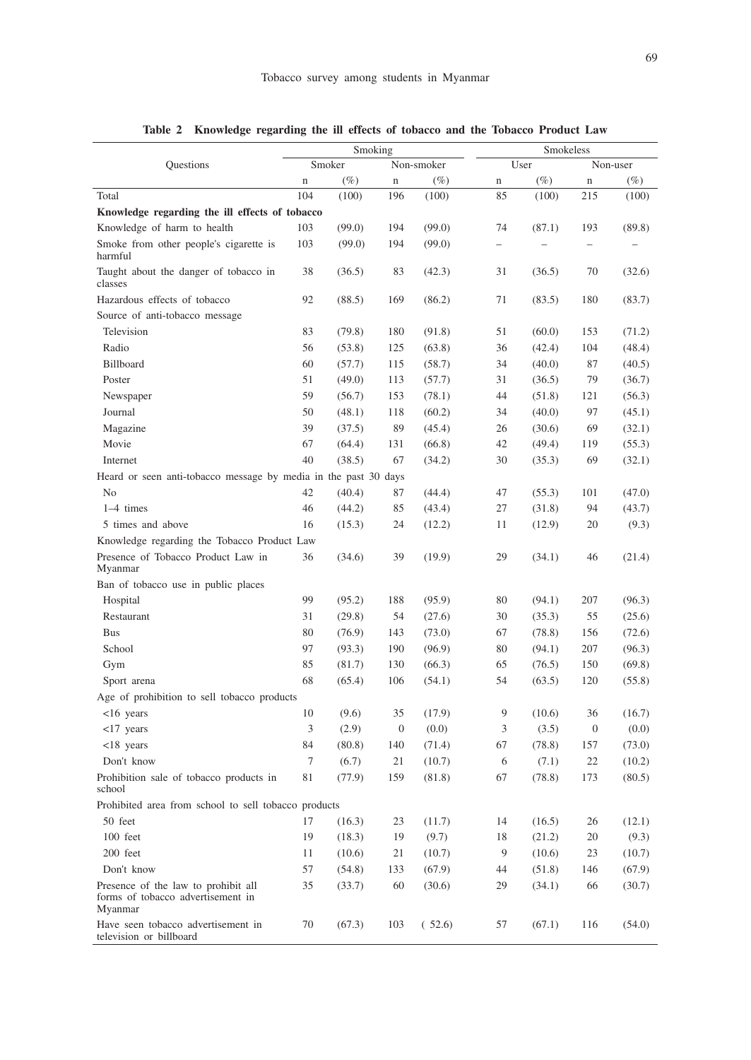| Smoking                                                                             |             | Smokeless |              |            |             |        |                  |          |
|-------------------------------------------------------------------------------------|-------------|-----------|--------------|------------|-------------|--------|------------------|----------|
| Questions                                                                           |             | Smoker    |              | Non-smoker |             | User   |                  | Non-user |
|                                                                                     | $\mathbf n$ | $(\%)$    | $\mathbf n$  | $(\%)$     | $\mathbf n$ | $(\%)$ | $\mathbf n$      | $(\%)$   |
| Total                                                                               | 104         | (100)     | 196          | (100)      | 85          | (100)  | 215              | (100)    |
| Knowledge regarding the ill effects of tobacco                                      |             |           |              |            |             |        |                  |          |
| Knowledge of harm to health                                                         | 103         | (99.0)    | 194          | (99.0)     | 74          | (87.1) | 193              | (89.8)   |
| Smoke from other people's cigarette is<br>harmful                                   | 103         | (99.0)    | 194          | (99.0)     |             |        |                  |          |
| Taught about the danger of tobacco in<br>classes                                    | 38          | (36.5)    | 83           | (42.3)     | 31          | (36.5) | 70               | (32.6)   |
| Hazardous effects of tobacco                                                        | 92          | (88.5)    | 169          | (86.2)     | 71          | (83.5) | 180              | (83.7)   |
| Source of anti-tobacco message                                                      |             |           |              |            |             |        |                  |          |
| Television                                                                          | 83          | (79.8)    | 180          | (91.8)     | 51          | (60.0) | 153              | (71.2)   |
| Radio                                                                               | 56          | (53.8)    | 125          | (63.8)     | 36          | (42.4) | 104              | (48.4)   |
| Billboard                                                                           | 60          | (57.7)    | 115          | (58.7)     | 34          | (40.0) | 87               | (40.5)   |
| Poster                                                                              | 51          | (49.0)    | 113          | (57.7)     | 31          | (36.5) | 79               | (36.7)   |
| Newspaper                                                                           | 59          | (56.7)    | 153          | (78.1)     | 44          | (51.8) | 121              | (56.3)   |
| Journal                                                                             | 50          | (48.1)    | 118          | (60.2)     | 34          | (40.0) | 97               | (45.1)   |
| Magazine                                                                            | 39          | (37.5)    | 89           | (45.4)     | 26          | (30.6) | 69               | (32.1)   |
| Movie                                                                               | 67          | (64.4)    | 131          | (66.8)     | 42          | (49.4) | 119              | (55.3)   |
| Internet                                                                            | 40          | (38.5)    | 67           | (34.2)     | 30          | (35.3) | 69               | (32.1)   |
| Heard or seen anti-tobacco message by media in the past 30 days                     |             |           |              |            |             |        |                  |          |
| No                                                                                  | 42          | (40.4)    | 87           | (44.4)     | 47          | (55.3) | 101              | (47.0)   |
| 1-4 times                                                                           | 46          | (44.2)    | 85           | (43.4)     | 27          | (31.8) | 94               | (43.7)   |
| 5 times and above                                                                   | 16          | (15.3)    | 24           | (12.2)     | 11          | (12.9) | 20               | (9.3)    |
| Knowledge regarding the Tobacco Product Law                                         |             |           |              |            |             |        |                  |          |
| Presence of Tobacco Product Law in<br>Myanmar                                       | 36          | (34.6)    | 39           | (19.9)     | 29          | (34.1) | 46               | (21.4)   |
| Ban of tobacco use in public places                                                 |             |           |              |            |             |        |                  |          |
| Hospital                                                                            | 99          | (95.2)    | 188          | (95.9)     | 80          | (94.1) | 207              | (96.3)   |
| Restaurant                                                                          | 31          | (29.8)    | 54           | (27.6)     | 30          | (35.3) | 55               | (25.6)   |
| <b>Bus</b>                                                                          | 80          | (76.9)    | 143          | (73.0)     | 67          | (78.8) | 156              | (72.6)   |
| School                                                                              | 97          |           |              |            | 80          |        |                  |          |
|                                                                                     |             | (93.3)    | 190          | (96.9)     |             | (94.1) | 207              | (96.3)   |
| Gym                                                                                 | 85          | (81.7)    | 130          | (66.3)     | 65          | (76.5) | 150              | (69.8)   |
| Sport arena                                                                         | 68          | (65.4)    | 106          | (54.1)     | 54          | (63.5) | 120              | (55.8)   |
| Age of prohibition to sell tobacco products                                         |             |           |              |            |             |        |                  |          |
| $<16$ years                                                                         | 10          | (9.6)     | 35           | (17.9)     | 9           | (10.6) | 36               | (16.7)   |
| $<$ 17 years                                                                        | 3           | (2.9)     | $\mathbf{0}$ | (0.0)      | 3           | (3.5)  | $\boldsymbol{0}$ | (0.0)    |
| $<$ 18 years                                                                        | 84          | (80.8)    | 140          | (71.4)     | 67          | (78.8) | 157              | (73.0)   |
| Don't know                                                                          | 7           | (6.7)     | 21           | (10.7)     | 6           | (7.1)  | 22               | (10.2)   |
| Prohibition sale of tobacco products in<br>school                                   | 81          | (77.9)    | 159          | (81.8)     | 67          | (78.8) | 173              | (80.5)   |
| Prohibited area from school to sell tobacco products                                |             |           |              |            |             |        |                  |          |
| 50 feet                                                                             | 17          | (16.3)    | 23           | (11.7)     | 14          | (16.5) | 26               | (12.1)   |
| 100 feet                                                                            | 19          | (18.3)    | 19           | (9.7)      | 18          | (21.2) | 20               | (9.3)    |
| 200 feet                                                                            | 11          | (10.6)    | 21           | (10.7)     | 9           | (10.6) | 23               | (10.7)   |
| Don't know                                                                          | 57          | (54.8)    | 133          | (67.9)     | 44          | (51.8) | 146              | (67.9)   |
| Presence of the law to prohibit all<br>forms of tobacco advertisement in<br>Myanmar | 35          | (33.7)    | 60           | (30.6)     | 29          | (34.1) | 66               | (30.7)   |
| Have seen tobacco advertisement in<br>television or billboard                       | 70          | (67.3)    | 103          | (52.6)     | 57          | (67.1) | 116              | (54.0)   |

**Table 2 Knowledge regarding the ill effects of tobacco and the Tobacco Product Law**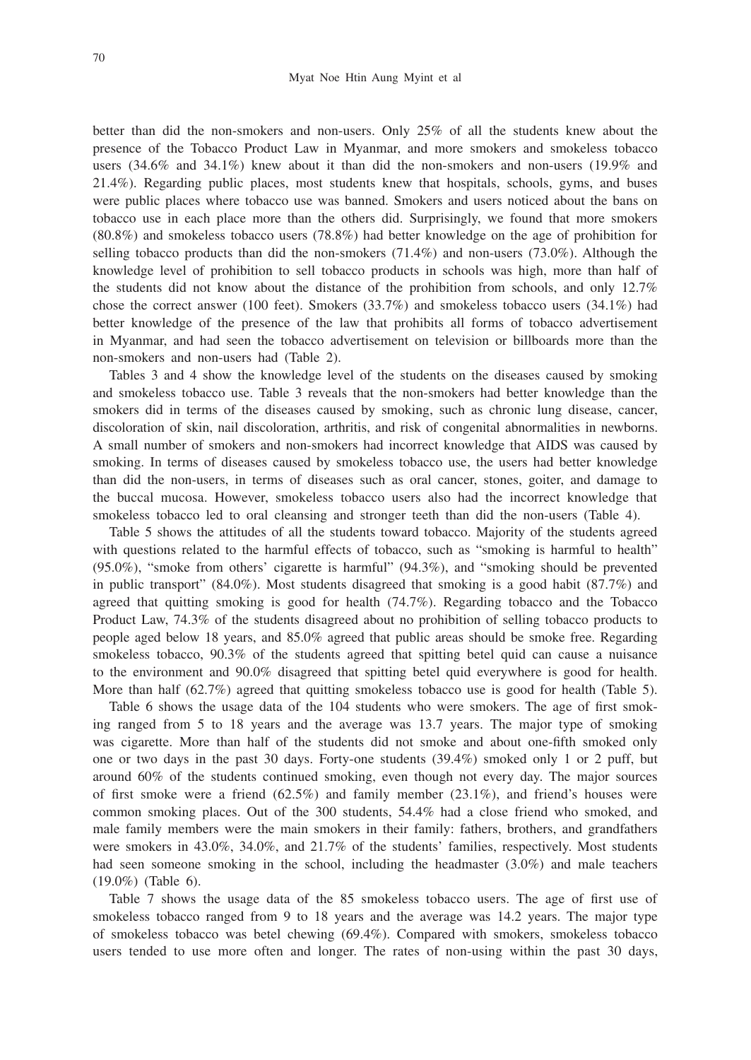better than did the non-smokers and non-users. Only 25% of all the students knew about the presence of the Tobacco Product Law in Myanmar, and more smokers and smokeless tobacco users (34.6% and 34.1%) knew about it than did the non-smokers and non-users (19.9% and 21.4%). Regarding public places, most students knew that hospitals, schools, gyms, and buses were public places where tobacco use was banned. Smokers and users noticed about the bans on tobacco use in each place more than the others did. Surprisingly, we found that more smokers (80.8%) and smokeless tobacco users (78.8%) had better knowledge on the age of prohibition for selling tobacco products than did the non-smokers (71.4%) and non-users (73.0%). Although the knowledge level of prohibition to sell tobacco products in schools was high, more than half of the students did not know about the distance of the prohibition from schools, and only 12.7% chose the correct answer (100 feet). Smokers (33.7%) and smokeless tobacco users (34.1%) had better knowledge of the presence of the law that prohibits all forms of tobacco advertisement in Myanmar, and had seen the tobacco advertisement on television or billboards more than the non-smokers and non-users had (Table 2).

Tables 3 and 4 show the knowledge level of the students on the diseases caused by smoking and smokeless tobacco use. Table 3 reveals that the non-smokers had better knowledge than the smokers did in terms of the diseases caused by smoking, such as chronic lung disease, cancer, discoloration of skin, nail discoloration, arthritis, and risk of congenital abnormalities in newborns. A small number of smokers and non-smokers had incorrect knowledge that AIDS was caused by smoking. In terms of diseases caused by smokeless tobacco use, the users had better knowledge than did the non-users, in terms of diseases such as oral cancer, stones, goiter, and damage to the buccal mucosa. However, smokeless tobacco users also had the incorrect knowledge that smokeless tobacco led to oral cleansing and stronger teeth than did the non-users (Table 4).

Table 5 shows the attitudes of all the students toward tobacco. Majority of the students agreed with questions related to the harmful effects of tobacco, such as "smoking is harmful to health" (95.0%), "smoke from others' cigarette is harmful" (94.3%), and "smoking should be prevented in public transport"  $(84.0\%)$ . Most students disagreed that smoking is a good habit  $(87.7\%)$  and agreed that quitting smoking is good for health (74.7%). Regarding tobacco and the Tobacco Product Law, 74.3% of the students disagreed about no prohibition of selling tobacco products to people aged below 18 years, and 85.0% agreed that public areas should be smoke free. Regarding smokeless tobacco, 90.3% of the students agreed that spitting betel quid can cause a nuisance to the environment and 90.0% disagreed that spitting betel quid everywhere is good for health. More than half (62.7%) agreed that quitting smokeless tobacco use is good for health (Table 5).

Table 6 shows the usage data of the 104 students who were smokers. The age of first smoking ranged from 5 to 18 years and the average was 13.7 years. The major type of smoking was cigarette. More than half of the students did not smoke and about one-fifth smoked only one or two days in the past 30 days. Forty-one students (39.4%) smoked only 1 or 2 puff, but around 60% of the students continued smoking, even though not every day. The major sources of first smoke were a friend  $(62.5%)$  and family member  $(23.1%)$ , and friend's houses were common smoking places. Out of the 300 students, 54.4% had a close friend who smoked, and male family members were the main smokers in their family: fathers, brothers, and grandfathers were smokers in 43.0%, 34.0%, and 21.7% of the students' families, respectively. Most students had seen someone smoking in the school, including the headmaster (3.0%) and male teachers (19.0%) (Table 6).

Table 7 shows the usage data of the 85 smokeless tobacco users. The age of first use of smokeless tobacco ranged from 9 to 18 years and the average was 14.2 years. The major type of smokeless tobacco was betel chewing (69.4%). Compared with smokers, smokeless tobacco users tended to use more often and longer. The rates of non-using within the past 30 days,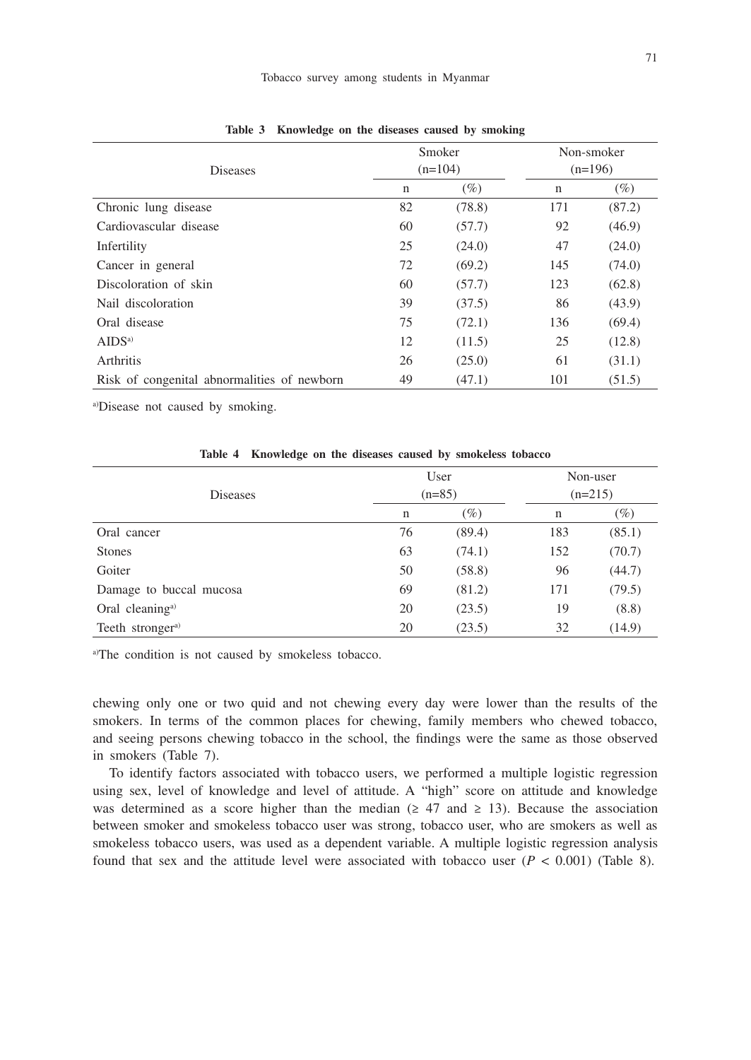#### Tobacco survey among students in Myanmar

|                                             |             | Smoker    |           | Non-smoker |
|---------------------------------------------|-------------|-----------|-----------|------------|
| Diseases                                    |             | $(n=104)$ | $(n=196)$ |            |
|                                             | $\mathbf n$ | $(\%)$    | n         | $(\%)$     |
| Chronic lung disease                        | 82          | (78.8)    | 171       | (87.2)     |
| Cardiovascular disease                      | 60          | (57.7)    | 92        | (46.9)     |
| Infertility                                 | 25          | (24.0)    | 47        | (24.0)     |
| Cancer in general                           | 72          | (69.2)    | 145       | (74.0)     |
| Discoloration of skin                       | 60          | (57.7)    | 123       | (62.8)     |
| Nail discoloration                          | 39          | (37.5)    | 86        | (43.9)     |
| Oral disease                                | 75          | (72.1)    | 136       | (69.4)     |
| AIDS <sup>a</sup>                           | 12          | (11.5)    | 25        | (12.8)     |
| Arthritis                                   | 26          | (25.0)    | 61        | (31.1)     |
| Risk of congenital abnormalities of newborn | 49          | (47.1)    | 101       | (51.5)     |

**Table 3 Knowledge on the diseases caused by smoking**

a)Disease not caused by smoking.

| Diseases                     |    | User<br>$(n=85)$ | Non-user<br>$(n=215)$ |        |  |
|------------------------------|----|------------------|-----------------------|--------|--|
|                              | n  | $(\%)$           | n                     | $(\%)$ |  |
| Oral cancer                  | 76 | (89.4)           | 183                   | (85.1) |  |
| <b>Stones</b>                | 63 | (74.1)           | 152                   | (70.7) |  |
| Goiter                       | 50 | (58.8)           | 96                    | (44.7) |  |
| Damage to buccal mucosa      | 69 | (81.2)           | 171                   | (79.5) |  |
| Oral cleaning <sup>a)</sup>  | 20 | (23.5)           | 19                    | (8.8)  |  |
| Teeth stronger <sup>a)</sup> | 20 | (23.5)           | 32                    | (14.9) |  |

**Table 4 Knowledge on the diseases caused by smokeless tobacco**

a)The condition is not caused by smokeless tobacco.

chewing only one or two quid and not chewing every day were lower than the results of the smokers. In terms of the common places for chewing, family members who chewed tobacco, and seeing persons chewing tobacco in the school, the findings were the same as those observed in smokers (Table 7).

To identify factors associated with tobacco users, we performed a multiple logistic regression using sex, level of knowledge and level of attitude. A "high" score on attitude and knowledge was determined as a score higher than the median ( $\geq$  47 and  $\geq$  13). Because the association between smoker and smokeless tobacco user was strong, tobacco user, who are smokers as well as smokeless tobacco users, was used as a dependent variable. A multiple logistic regression analysis found that sex and the attitude level were associated with tobacco user  $(P < 0.001)$  (Table 8).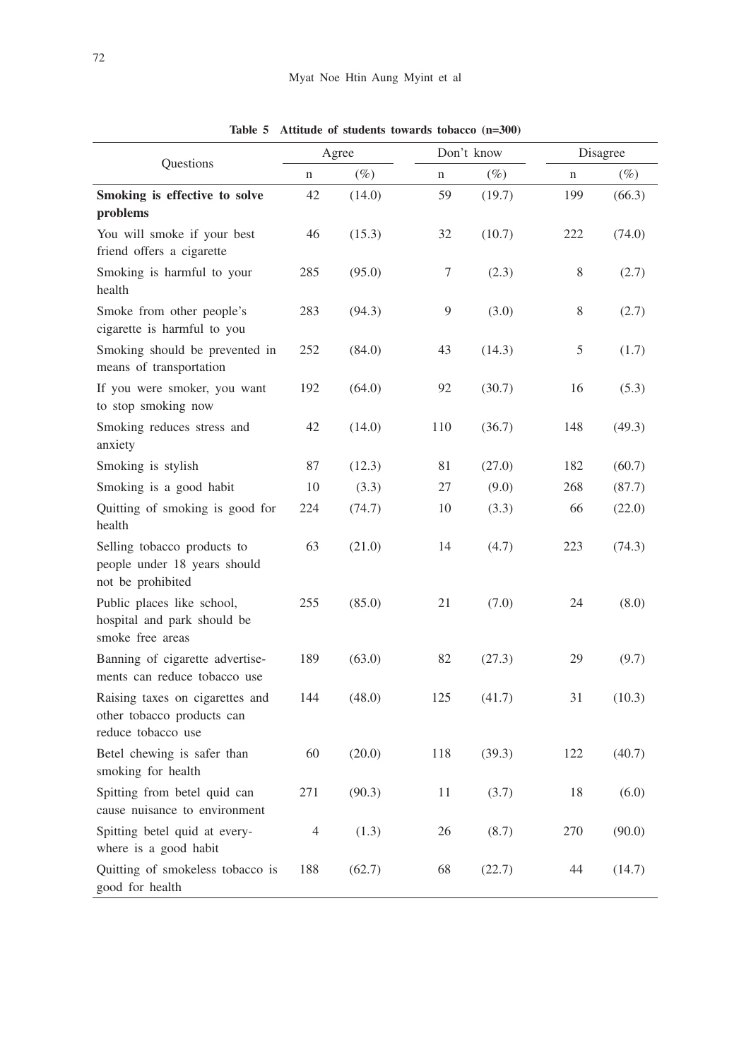|                                                                                     |             | Agree  |             | Don't know |     | Disagree |  |
|-------------------------------------------------------------------------------------|-------------|--------|-------------|------------|-----|----------|--|
| Questions                                                                           | $\mathbf n$ | $(\%)$ | $\mathbf n$ | $(\%)$     | n   | $(\%)$   |  |
| Smoking is effective to solve<br>problems                                           | 42          | (14.0) | 59          | (19.7)     | 199 | (66.3)   |  |
| You will smoke if your best<br>friend offers a cigarette                            | 46          | (15.3) | 32          | (10.7)     | 222 | (74.0)   |  |
| Smoking is harmful to your<br>health                                                | 285         | (95.0) | 7           | (2.3)      | 8   | (2.7)    |  |
| Smoke from other people's<br>cigarette is harmful to you                            | 283         | (94.3) | 9           | (3.0)      | 8   | (2.7)    |  |
| Smoking should be prevented in<br>means of transportation                           | 252         | (84.0) | 43          | (14.3)     | 5   | (1.7)    |  |
| If you were smoker, you want<br>to stop smoking now                                 | 192         | (64.0) | 92          | (30.7)     | 16  | (5.3)    |  |
| Smoking reduces stress and<br>anxiety                                               | 42          | (14.0) | 110         | (36.7)     | 148 | (49.3)   |  |
| Smoking is stylish                                                                  | 87          | (12.3) | 81          | (27.0)     | 182 | (60.7)   |  |
| Smoking is a good habit                                                             | 10          | (3.3)  | 27          | (9.0)      | 268 | (87.7)   |  |
| Quitting of smoking is good for<br>health                                           | 224         | (74.7) | 10          | (3.3)      | 66  | (22.0)   |  |
| Selling tobacco products to<br>people under 18 years should<br>not be prohibited    | 63          | (21.0) | 14          | (4.7)      | 223 | (74.3)   |  |
| Public places like school,<br>hospital and park should be<br>smoke free areas       | 255         | (85.0) | 21          | (7.0)      | 24  | (8.0)    |  |
| Banning of cigarette advertise-<br>ments can reduce tobacco use                     | 189         | (63.0) | 82          | (27.3)     | 29  | (9.7)    |  |
| Raising taxes on cigarettes and<br>other tobacco products can<br>reduce tobacco use | 144         | (48.0) | 125         | (41.7)     | 31  | (10.3)   |  |
| Betel chewing is safer than<br>smoking for health                                   | 60          | (20.0) | 118         | (39.3)     | 122 | (40.7)   |  |
| Spitting from betel quid can<br>cause nuisance to environment                       | 271         | (90.3) | 11          | (3.7)      | 18  | (6.0)    |  |
| Spitting betel quid at every-<br>where is a good habit                              | 4           | (1.3)  | 26          | (8.7)      | 270 | (90.0)   |  |
| Quitting of smokeless tobacco is<br>good for health                                 | 188         | (62.7) | 68          | (22.7)     | 44  | (14.7)   |  |

**Table 5 Attitude of students towards tobacco (n=300)**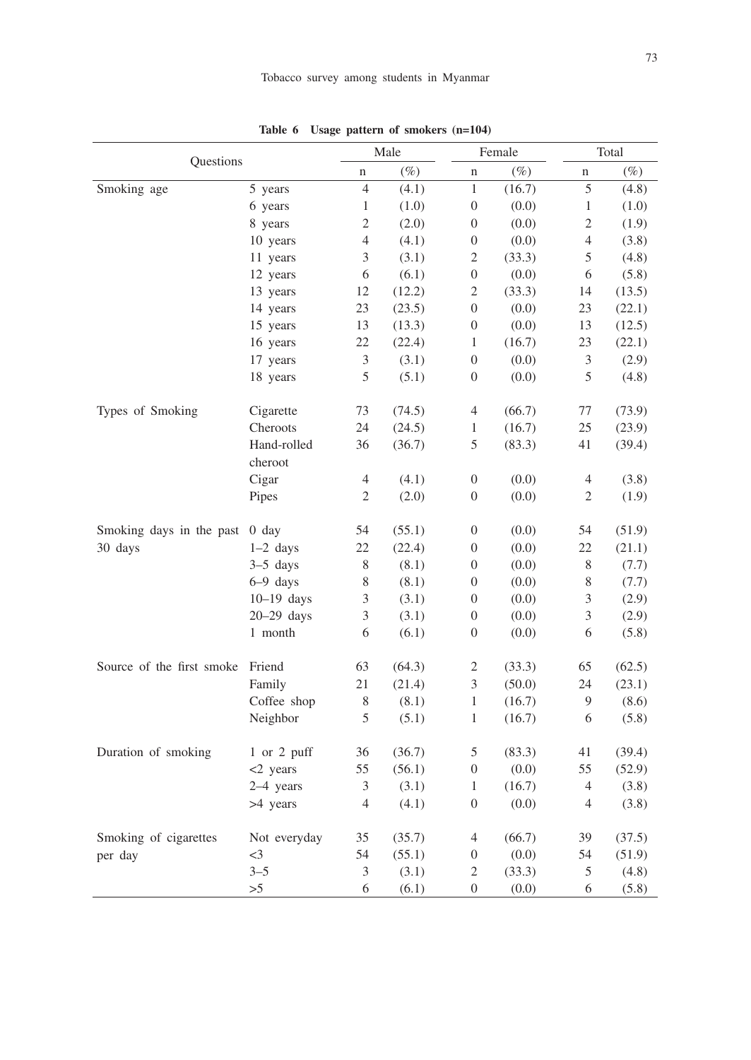|                           |              | Male                     |        |                             | Female | Total          |        |  |
|---------------------------|--------------|--------------------------|--------|-----------------------------|--------|----------------|--------|--|
| Questions                 |              | n                        | $(\%)$ | n                           | $(\%)$ | n              | $(\%)$ |  |
| Smoking age               | 5 years      | 4                        | (4.1)  | $\,1$                       | (16.7) | 5              | (4.8)  |  |
|                           | 6 years      | $\mathbf{1}$             | (1.0)  | $\boldsymbol{0}$            | (0.0)  | 1              | (1.0)  |  |
|                           | 8 years      | $\overline{c}$           | (2.0)  | $\mathbf{0}$                | (0.0)  | $\overline{c}$ | (1.9)  |  |
|                           | 10 years     | $\overline{\mathcal{L}}$ | (4.1)  | $\boldsymbol{0}$            | (0.0)  | $\overline{4}$ | (3.8)  |  |
|                           | 11 years     | 3                        | (3.1)  | $\mathfrak{2}$              | (33.3) | 5              | (4.8)  |  |
|                           | 12 years     | 6                        | (6.1)  | $\boldsymbol{0}$            | (0.0)  | 6              | (5.8)  |  |
|                           | 13 years     | 12                       | (12.2) | $\overline{c}$              | (33.3) | 14             | (13.5) |  |
|                           | 14 years     | 23                       | (23.5) | $\boldsymbol{0}$            | (0.0)  | 23             | (22.1) |  |
|                           | 15 years     | 13                       | (13.3) | $\boldsymbol{0}$            | (0.0)  | 13             | (12.5) |  |
|                           | 16 years     | 22                       | (22.4) | $\mathbf{1}$                | (16.7) | 23             | (22.1) |  |
|                           | 17 years     | $\mathfrak{Z}$           | (3.1)  | $\mathbf{0}$                | (0.0)  | $\mathfrak 3$  | (2.9)  |  |
|                           | 18 years     | 5                        | (5.1)  | $\boldsymbol{0}$            | (0.0)  | 5              | (4.8)  |  |
| Types of Smoking          | Cigarette    | 73                       | (74.5) | $\overline{4}$              | (66.7) | 77             | (73.9) |  |
|                           | Cheroots     | 24                       | (24.5) | $\mathbf{1}$                | (16.7) | $25\,$         | (23.9) |  |
|                           | Hand-rolled  | 36                       | (36.7) | 5                           | (83.3) | 41             | (39.4) |  |
|                           | cheroot      |                          |        |                             |        |                |        |  |
|                           | Cigar        | 4                        | (4.1)  | $\boldsymbol{0}$            | (0.0)  | $\overline{4}$ | (3.8)  |  |
|                           | Pipes        | 2                        | (2.0)  | $\boldsymbol{0}$            | (0.0)  | $\mathfrak{2}$ | (1.9)  |  |
| Smoking days in the past  | $0$ day      | 54                       | (55.1) | $\boldsymbol{0}$            | (0.0)  | 54             | (51.9) |  |
| 30 days                   | $1-2$ days   | 22                       | (22.4) | $\boldsymbol{0}$            | (0.0)  | 22             | (21.1) |  |
|                           | $3-5$ days   | 8                        | (8.1)  | $\boldsymbol{0}$            | (0.0)  | $8\,$          | (7.7)  |  |
|                           | $6-9$ days   | 8                        | (8.1)  | $\boldsymbol{0}$            | (0.0)  | $\,$ 8 $\,$    | (7.7)  |  |
|                           | $10-19$ days | 3                        | (3.1)  | $\boldsymbol{0}$            | (0.0)  | $\mathfrak{Z}$ | (2.9)  |  |
|                           | $20-29$ days | $\mathfrak{Z}$           | (3.1)  | $\boldsymbol{0}$            | (0.0)  | 3              | (2.9)  |  |
|                           | 1 month      | 6                        | (6.1)  | $\boldsymbol{0}$            | (0.0)  | 6              | (5.8)  |  |
| Source of the first smoke | Friend       | 63                       | (64.3) | $\overline{c}$              | (33.3) | 65             | (62.5) |  |
|                           | Family       | 21                       | (21.4) | $\ensuremath{\mathfrak{Z}}$ | (50.0) | 24             | (23.1) |  |
|                           | Coffee shop  | 8                        | (8.1)  | $\mathbf{1}$                | (16.7) | 9              | (8.6)  |  |
|                           | Neighbor     | 5                        | (5.1)  | $\mathbf{1}$                | (16.7) | 6              | (5.8)  |  |
| Duration of smoking       | 1 or 2 puff  | 36                       | (36.7) | $\sqrt{5}$                  | (83.3) | 41             | (39.4) |  |
|                           | <2 years     | 55                       | (56.1) | $\boldsymbol{0}$            | (0.0)  | 55             | (52.9) |  |
|                           | 2-4 years    | 3                        | (3.1)  | $\mathbf{1}$                | (16.7) | $\overline{4}$ | (3.8)  |  |
|                           | >4 years     | $\overline{4}$           | (4.1)  | $\boldsymbol{0}$            | (0.0)  | $\overline{4}$ | (3.8)  |  |
| Smoking of cigarettes     | Not everyday | 35                       | (35.7) | $\overline{4}$              | (66.7) | 39             | (37.5) |  |
| per day                   | $\leq$ 3     | 54                       | (55.1) | $\boldsymbol{0}$            | (0.0)  | 54             | (51.9) |  |
|                           | $3 - 5$      | 3                        | (3.1)  | $\overline{2}$              | (33.3) | 5              | (4.8)  |  |
|                           | >5           | 6                        | (6.1)  | $\overline{0}$              | (0.0)  | 6              | (5.8)  |  |

**Table 6 Usage pattern of smokers (n=104)**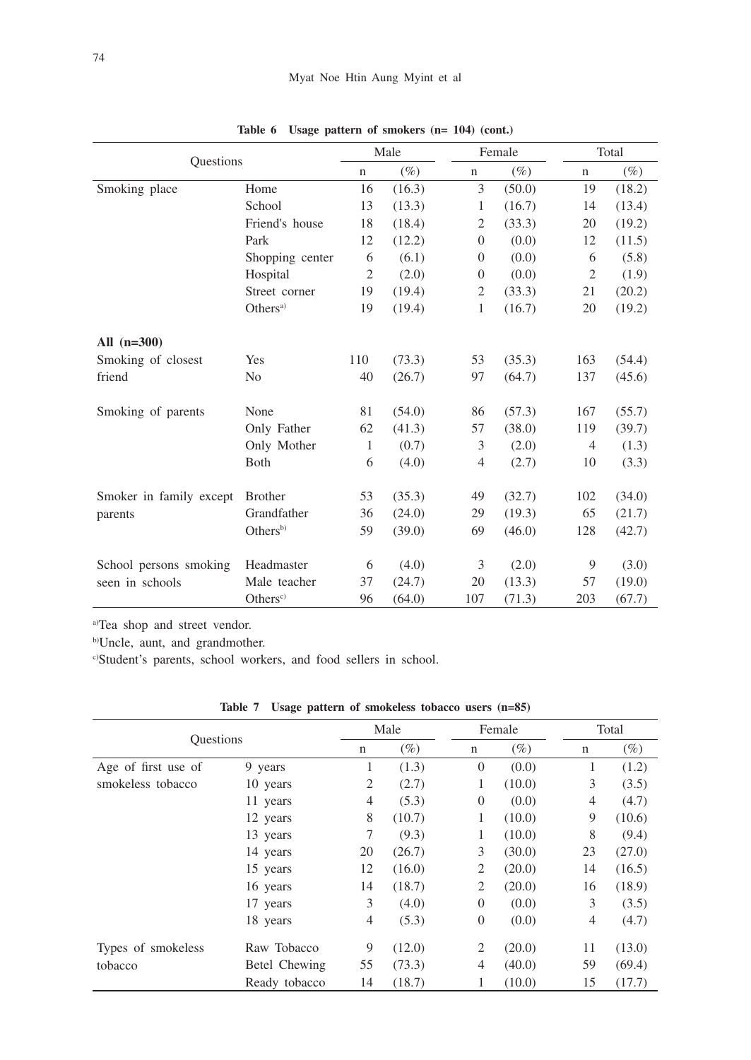| Questions               |                      |             | Male   |                | Female |             | Total  |  |
|-------------------------|----------------------|-------------|--------|----------------|--------|-------------|--------|--|
|                         |                      | $\mathbf n$ | $(\%)$ | $\mathbf n$    | $(\%)$ | $\mathbf n$ | $(\%)$ |  |
| Smoking place           | Home                 | 16          | (16.3) | 3              | (50.0) | 19          | (18.2) |  |
|                         | School               | 13          | (13.3) | 1              | (16.7) | 14          | (13.4) |  |
|                         | Friend's house       | 18          | (18.4) | $\overline{2}$ | (33.3) | 20          | (19.2) |  |
|                         | Park                 | 12          | (12.2) | $\overline{0}$ | (0.0)  | 12          | (11.5) |  |
|                         | Shopping center      | 6           | (6.1)  | $\Omega$       | (0.0)  | 6           | (5.8)  |  |
|                         | Hospital             | 2           | (2.0)  | $\Omega$       | (0.0)  | 2           | (1.9)  |  |
|                         | Street corner        | 19          | (19.4) | $\overline{2}$ | (33.3) | 21          | (20.2) |  |
|                         | Others <sup>a)</sup> | 19          | (19.4) | 1              | (16.7) | 20          | (19.2) |  |
| All $(n=300)$           |                      |             |        |                |        |             |        |  |
| Smoking of closest      | Yes                  | 110         | (73.3) | 53             | (35.3) | 163         | (54.4) |  |
| friend                  | N <sub>0</sub>       | 40          | (26.7) | 97             | (64.7) | 137         | (45.6) |  |
| Smoking of parents      | None                 | 81          | (54.0) | 86             | (57.3) | 167         | (55.7) |  |
|                         | Only Father          | 62          | (41.3) | 57             | (38.0) | 119         | (39.7) |  |
|                         | Only Mother          | 1           | (0.7)  | 3              | (2.0)  | 4           | (1.3)  |  |
|                         | Both                 | 6           | (4.0)  | $\overline{4}$ | (2.7)  | 10          | (3.3)  |  |
| Smoker in family except | <b>Brother</b>       | 53          | (35.3) | 49             | (32.7) | 102         | (34.0) |  |
| parents                 | Grandfather          | 36          | (24.0) | 29             | (19.3) | 65          | (21.7) |  |
|                         | Others <sup>b)</sup> | 59          | (39.0) | 69             | (46.0) | 128         | (42.7) |  |
| School persons smoking  | Headmaster           | 6           | (4.0)  | 3              | (2.0)  | 9           | (3.0)  |  |
| seen in schools         | Male teacher         | 37          | (24.7) | 20             | (13.3) | 57          | (19.0) |  |
|                         | Others <sup>c</sup>  | 96          | (64.0) | 107            | (71.3) | 203         | (67.7) |  |

**Table 6 Usage pattern of smokers (n= 104) (cont.)**

a)Tea shop and street vendor.

b)Uncle, aunt, and grandmother.

c)Student's parents, school workers, and food sellers in school.

| Table 7 Usage pattern of smokeless tobacco users (n=85) |
|---------------------------------------------------------|
|---------------------------------------------------------|

|                     |               |                | Male   |             | Female         |        |                | Total  |  |
|---------------------|---------------|----------------|--------|-------------|----------------|--------|----------------|--------|--|
| <b>Questions</b>    |               | $\mathbf n$    | $(\%)$ | $\mathbf n$ |                | $(\%)$ | n              | $(\%)$ |  |
| Age of first use of | 9 years       | 1              | (1.3)  |             | $\mathbf{0}$   | (0.0)  | 1              | (1.2)  |  |
| smokeless tobacco   | 10 years      | $\overline{2}$ | (2.7)  |             | 1              | (10.0) | 3              | (3.5)  |  |
|                     | 11 years      | $\overline{4}$ | (5.3)  |             | $\overline{0}$ | (0.0)  | 4              | (4.7)  |  |
|                     | 12 years      | 8              | (10.7) |             | 1              | (10.0) | 9              | (10.6) |  |
|                     | 13 years      | 7              | (9.3)  |             | 1              | (10.0) | 8              | (9.4)  |  |
|                     | 14 years      | 20             | (26.7) |             | 3              | (30.0) | 23             | (27.0) |  |
|                     | 15 years      | 12             | (16.0) |             | 2              | (20.0) | 14             | (16.5) |  |
|                     | 16 years      | 14             | (18.7) |             | 2              | (20.0) | 16             | (18.9) |  |
|                     | 17 years      | 3              | (4.0)  |             | $\Omega$       | (0.0)  | 3              | (3.5)  |  |
|                     | 18 years      | $\overline{4}$ | (5.3)  |             | $\overline{0}$ | (0.0)  | $\overline{4}$ | (4.7)  |  |
| Types of smokeless  | Raw Tobacco   | 9              | (12.0) |             | 2              | (20.0) | 11             | (13.0) |  |
| tobacco             | Betel Chewing | 55             | (73.3) |             | $\overline{4}$ | (40.0) | 59             | (69.4) |  |
|                     | Ready tobacco | 14             | (18.7) |             | 1              | (10.0) | 15             | (17.7) |  |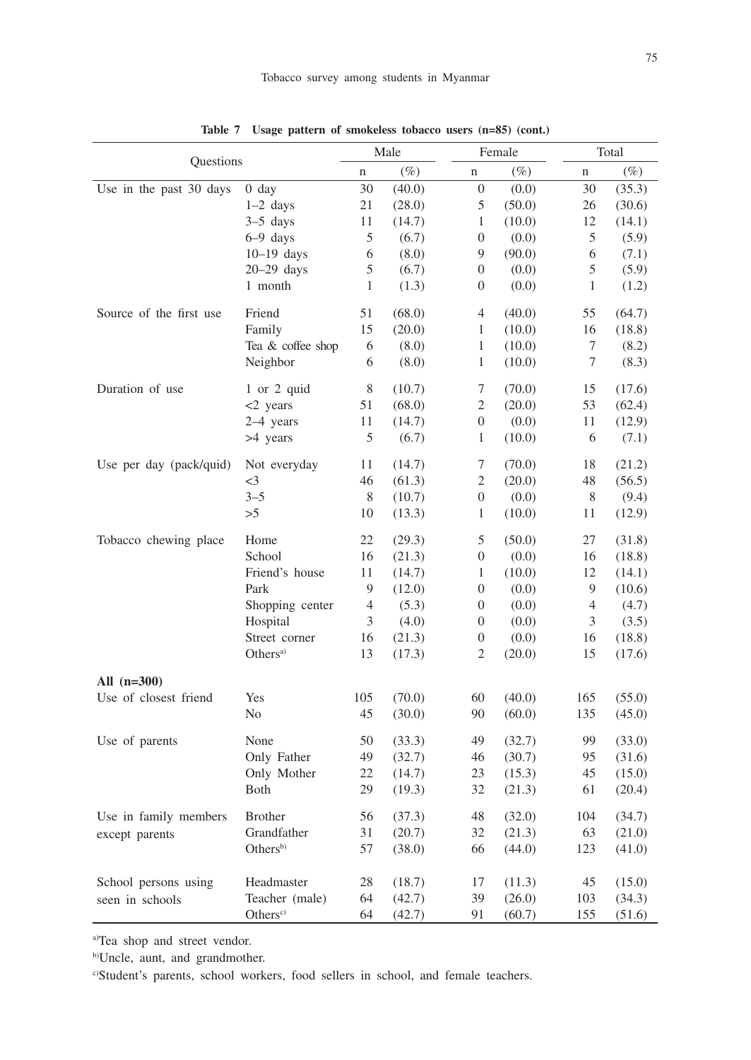|                         |                      | Male           |        | Female           |        | Total          |        |
|-------------------------|----------------------|----------------|--------|------------------|--------|----------------|--------|
| Questions               |                      | n              | $(\%)$ | $\mathbf n$      | $(\%)$ | n              | $(\%)$ |
| Use in the past 30 days | $0$ day              | 30             | (40.0) | $\boldsymbol{0}$ | (0.0)  | 30             | (35.3) |
|                         | $1-2$ days           | 21             | (28.0) | $\sqrt{5}$       | (50.0) | 26             | (30.6) |
|                         | $3-5$ days           | 11             | (14.7) | $\mathbf{1}$     | (10.0) | 12             | (14.1) |
|                         | $6-9$ days           | 5              | (6.7)  | $\boldsymbol{0}$ | (0.0)  | 5              | (5.9)  |
|                         | $10-19$ days         | 6              | (8.0)  | 9                | (90.0) | 6              | (7.1)  |
|                         | $20-29$ days         | 5              | (6.7)  | 0                | (0.0)  | 5              | (5.9)  |
|                         | 1 month              | 1              | (1.3)  | 0                | (0.0)  | 1              | (1.2)  |
| Source of the first use | Friend               | 51             | (68.0) | 4                | (40.0) | 55             | (64.7) |
|                         | Family               | 15             | (20.0) | 1                | (10.0) | 16             | (18.8) |
|                         | Tea & coffee shop    | 6              | (8.0)  | $\mathbf{1}$     | (10.0) | 7              | (8.2)  |
|                         | Neighbor             | 6              | (8.0)  | $\mathbf{1}$     | (10.0) | 7              | (8.3)  |
| Duration of use         | 1 or 2 quid          | 8              | (10.7) | 7                | (70.0) | 15             | (17.6) |
|                         | $<$ 2 years          | 51             | (68.0) | $\mathfrak{2}$   | (20.0) | 53             | (62.4) |
|                         | 2-4 years            | 11             | (14.7) | $\boldsymbol{0}$ | (0.0)  | 11             | (12.9) |
|                         | >4 years             | $\mathfrak s$  | (6.7)  | 1                | (10.0) | 6              | (7.1)  |
| Use per day (pack/quid) | Not everyday         | 11             | (14.7) | 7                | (70.0) | 18             | (21.2) |
|                         | $\leq$ 3             | 46             | (61.3) | $\mathfrak{2}$   | (20.0) | 48             | (56.5) |
|                         | $3 - 5$              | $8\,$          | (10.7) | 0                | (0.0)  | 8              | (9.4)  |
|                         | >5                   | 10             | (13.3) | 1                | (10.0) | 11             | (12.9) |
| Tobacco chewing place   | Home                 | 22             | (29.3) | 5                | (50.0) | 27             | (31.8) |
|                         | School               | 16             | (21.3) | $\boldsymbol{0}$ | (0.0)  | 16             | (18.8) |
|                         | Friend's house       | 11             | (14.7) | $\mathbf{1}$     | (10.0) | 12             | (14.1) |
|                         | Park                 | 9              | (12.0) | $\boldsymbol{0}$ | (0.0)  | 9              | (10.6) |
|                         | Shopping center      | $\overline{4}$ | (5.3)  | $\boldsymbol{0}$ | (0.0)  | $\overline{4}$ | (4.7)  |
|                         | Hospital             | 3              | (4.0)  | $\boldsymbol{0}$ | (0.0)  | 3              | (3.5)  |
|                         | Street corner        | 16             | (21.3) | $\boldsymbol{0}$ | (0.0)  | 16             | (18.8) |
|                         | Others <sup>a)</sup> | 13             | (17.3) | $\mathfrak{2}$   | (20.0) | 15             | (17.6) |
| All $(n=300)$           |                      |                |        |                  |        |                |        |
| Use of closest friend   | Yes                  | 105            | (70.0) | 60               | (40.0) | 165            | (55.0) |
|                         | No                   | 45             | (30.0) | 90               | (60.0) | 135            | (45.0) |
| Use of parents          | None                 | 50             | (33.3) | 49               | (32.7) | 99             | (33.0) |
|                         | Only Father          | 49             | (32.7) | 46               | (30.7) | 95             | (31.6) |
|                         | Only Mother          | 22             | (14.7) | 23               | (15.3) | 45             | (15.0) |
|                         | <b>B</b> oth         | 29             | (19.3) | 32               | (21.3) | 61             | (20.4) |
| Use in family members   | <b>Brother</b>       | 56             | (37.3) | 48               | (32.0) | 104            | (34.7) |
| except parents          | Grandfather          | 31             | (20.7) | 32               | (21.3) | 63             | (21.0) |
|                         | Others <sup>b)</sup> | 57             | (38.0) | 66               | (44.0) | 123            | (41.0) |
| School persons using    | Headmaster           | 28             | (18.7) | 17               | (11.3) | 45             | (15.0) |
| seen in schools         | Teacher (male)       | 64             | (42.7) | 39               | (26.0) | 103            | (34.3) |
|                         | Others <sup>c)</sup> | 64             | (42.7) | 91               | (60.7) | 155            | (51.6) |

**Table 7 Usage pattern of smokeless tobacco users (n=85) (cont.)**

a)Tea shop and street vendor.

b)Uncle, aunt, and grandmother.

c)Student's parents, school workers, food sellers in school, and female teachers.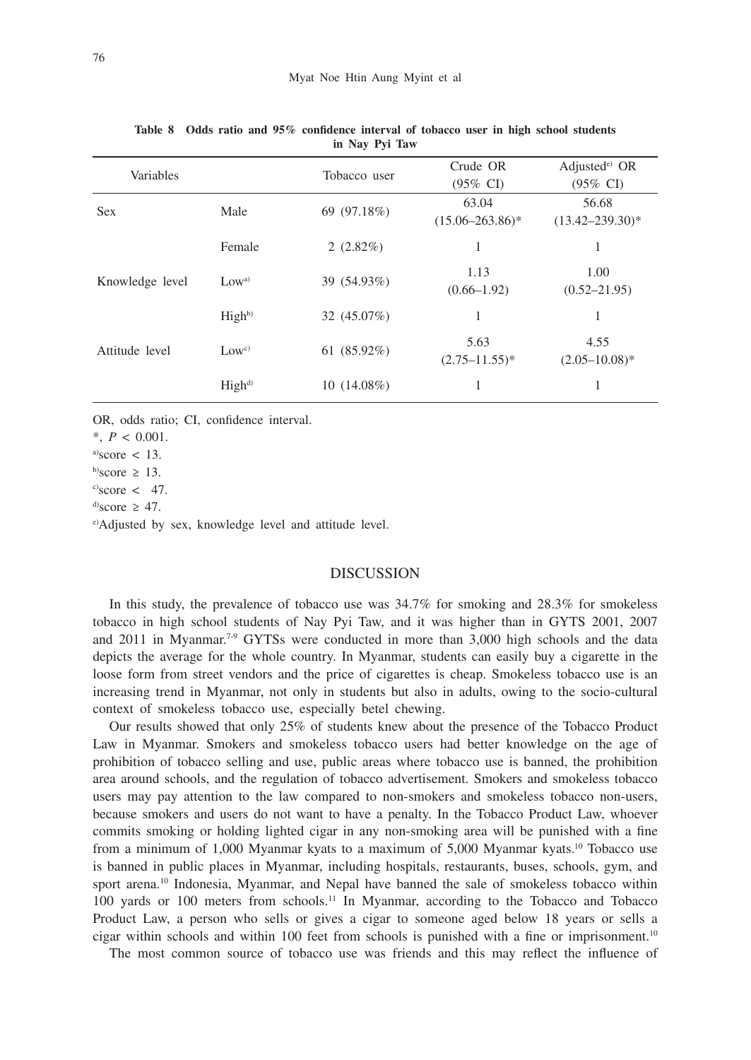| Variables       |                   | Tobacco user   | Crude OR<br>$(95\% \text{ CI})$ | Adjusted $e$ OR<br>(95% CI)   |
|-----------------|-------------------|----------------|---------------------------------|-------------------------------|
| <b>Sex</b>      | Male              | 69 (97.18%)    | 63.04<br>$(15.06 - 263.86)^*$   | 56.68<br>$(13.42 - 239.30)^*$ |
|                 | Female            | 2(2.82%)       | 1                               | 1                             |
| Knowledge level | Low <sup>a</sup>  | 39 (54.93%)    | 1.13<br>$(0.66 - 1.92)$         | 1.00<br>$(0.52 - 21.95)$      |
|                 | High <sup>b</sup> | 32 (45.07%)    | 1                               | 1                             |
| Attitude level  | Low <sup>c</sup>  | 61 $(85.92\%)$ | 5.63<br>$(2.75 - 11.55)^*$      | 4.55<br>$(2.05 - 10.08)^*$    |
|                 | High <sup>d</sup> | $10(14.08\%)$  |                                 | 1                             |

**Table 8 Odds ratio and 95% confidence interval of tobacco user in high school students in Nay Pyi Taw**

OR, odds ratio; CI, confidence interval.

\*, *P* < 0.001.

 $a)$ score < 13.

b)score  $\geq$  13.

 $c$ )score < 47.

 $\text{d}^{\text{d}}$ score  $\geq 47$ .

e)Adjusted by sex, knowledge level and attitude level.

## DISCUSSION

In this study, the prevalence of tobacco use was 34.7% for smoking and 28.3% for smokeless tobacco in high school students of Nay Pyi Taw, and it was higher than in GYTS 2001, 2007 and 2011 in Myanmar.<sup>7.9</sup> GYTSs were conducted in more than  $3,000$  high schools and the data depicts the average for the whole country. In Myanmar, students can easily buy a cigarette in the loose form from street vendors and the price of cigarettes is cheap. Smokeless tobacco use is an increasing trend in Myanmar, not only in students but also in adults, owing to the socio-cultural context of smokeless tobacco use, especially betel chewing.

Our results showed that only 25% of students knew about the presence of the Tobacco Product Law in Myanmar. Smokers and smokeless tobacco users had better knowledge on the age of prohibition of tobacco selling and use, public areas where tobacco use is banned, the prohibition area around schools, and the regulation of tobacco advertisement. Smokers and smokeless tobacco users may pay attention to the law compared to non-smokers and smokeless tobacco non-users, because smokers and users do not want to have a penalty. In the Tobacco Product Law, whoever commits smoking or holding lighted cigar in any non-smoking area will be punished with a fine from a minimum of 1,000 Myanmar kyats to a maximum of 5,000 Myanmar kyats.<sup>10</sup> Tobacco use is banned in public places in Myanmar, including hospitals, restaurants, buses, schools, gym, and sport arena.<sup>10</sup> Indonesia, Myanmar, and Nepal have banned the sale of smokeless tobacco within 100 yards or 100 meters from schools.11 In Myanmar, according to the Tobacco and Tobacco Product Law, a person who sells or gives a cigar to someone aged below 18 years or sells a cigar within schools and within 100 feet from schools is punished with a fine or imprisonment.10

The most common source of tobacco use was friends and this may reflect the influence of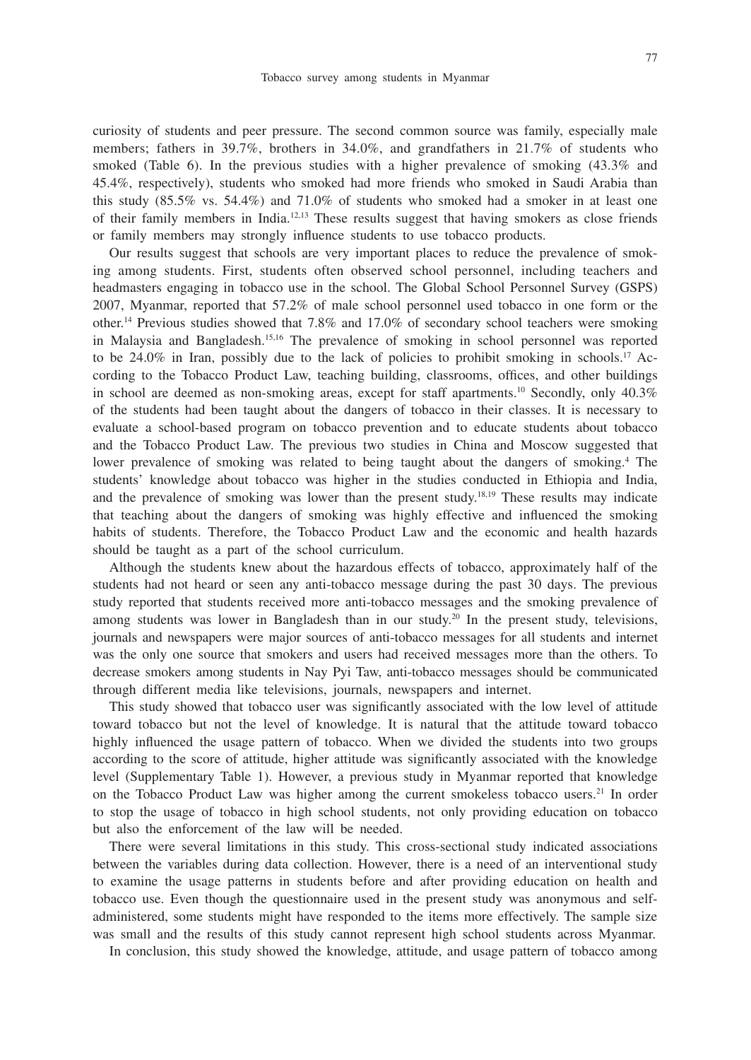curiosity of students and peer pressure. The second common source was family, especially male members; fathers in 39.7%, brothers in 34.0%, and grandfathers in 21.7% of students who smoked (Table 6). In the previous studies with a higher prevalence of smoking (43.3% and 45.4%, respectively), students who smoked had more friends who smoked in Saudi Arabia than this study (85.5% vs. 54.4%) and 71.0% of students who smoked had a smoker in at least one of their family members in India.12,13 These results suggest that having smokers as close friends or family members may strongly influence students to use tobacco products.

Our results suggest that schools are very important places to reduce the prevalence of smoking among students. First, students often observed school personnel, including teachers and headmasters engaging in tobacco use in the school. The Global School Personnel Survey (GSPS) 2007, Myanmar, reported that 57.2% of male school personnel used tobacco in one form or the other.14 Previous studies showed that 7.8% and 17.0% of secondary school teachers were smoking in Malaysia and Bangladesh.15,16 The prevalence of smoking in school personnel was reported to be  $24.0\%$  in Iran, possibly due to the lack of policies to prohibit smoking in schools.<sup>17</sup> According to the Tobacco Product Law, teaching building, classrooms, offices, and other buildings in school are deemed as non-smoking areas, except for staff apartments.<sup>10</sup> Secondly, only 40.3% of the students had been taught about the dangers of tobacco in their classes. It is necessary to evaluate a school-based program on tobacco prevention and to educate students about tobacco and the Tobacco Product Law. The previous two studies in China and Moscow suggested that lower prevalence of smoking was related to being taught about the dangers of smoking.<sup>4</sup> The students' knowledge about tobacco was higher in the studies conducted in Ethiopia and India, and the prevalence of smoking was lower than the present study.<sup>18,19</sup> These results may indicate that teaching about the dangers of smoking was highly effective and influenced the smoking habits of students. Therefore, the Tobacco Product Law and the economic and health hazards should be taught as a part of the school curriculum.

Although the students knew about the hazardous effects of tobacco, approximately half of the students had not heard or seen any anti-tobacco message during the past 30 days. The previous study reported that students received more anti-tobacco messages and the smoking prevalence of among students was lower in Bangladesh than in our study.<sup>20</sup> In the present study, televisions, journals and newspapers were major sources of anti-tobacco messages for all students and internet was the only one source that smokers and users had received messages more than the others. To decrease smokers among students in Nay Pyi Taw, anti-tobacco messages should be communicated through different media like televisions, journals, newspapers and internet.

This study showed that tobacco user was significantly associated with the low level of attitude toward tobacco but not the level of knowledge. It is natural that the attitude toward tobacco highly influenced the usage pattern of tobacco. When we divided the students into two groups according to the score of attitude, higher attitude was significantly associated with the knowledge level (Supplementary Table 1). However, a previous study in Myanmar reported that knowledge on the Tobacco Product Law was higher among the current smokeless tobacco users.21 In order to stop the usage of tobacco in high school students, not only providing education on tobacco but also the enforcement of the law will be needed.

There were several limitations in this study. This cross-sectional study indicated associations between the variables during data collection. However, there is a need of an interventional study to examine the usage patterns in students before and after providing education on health and tobacco use. Even though the questionnaire used in the present study was anonymous and selfadministered, some students might have responded to the items more effectively. The sample size was small and the results of this study cannot represent high school students across Myanmar.

In conclusion, this study showed the knowledge, attitude, and usage pattern of tobacco among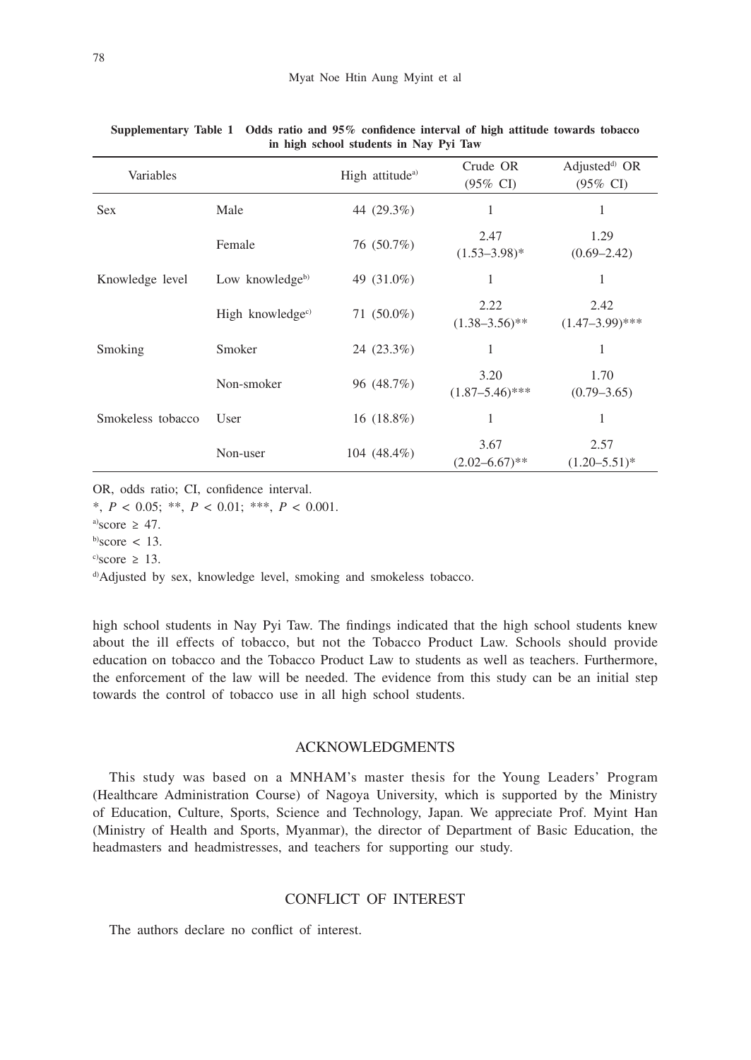| Variables         |                      | High attitude <sup>a)</sup> | Crude OR<br>$(95\% \text{ CI})$ | Adjusted <sup>d)</sup> OR<br>$(95\% \text{ CI})$ |
|-------------------|----------------------|-----------------------------|---------------------------------|--------------------------------------------------|
| <b>Sex</b>        | Male                 | 44 (29.3%)                  | 1                               | 1                                                |
|                   | Female               | 76 (50.7%)                  | 2.47<br>$(1.53 - 3.98)^*$       | 1.29<br>$(0.69 - 2.42)$                          |
| Knowledge level   | Low knowledgeb)      | 49 (31.0%)                  | 1                               | 1                                                |
|                   | High knowledge $c$ ) | 71 $(50.0\%)$               | 2.22<br>$(1.38 - 3.56)$ **      | 2.42<br>$(1.47-3.99)$ ***                        |
| Smoking           | Smoker               | 24 (23.3%)                  | 1                               | 1                                                |
|                   | Non-smoker           | 96 (48.7%)                  | 3.20<br>$(1.87 - 5.46)$ ***     | 1.70<br>$(0.79 - 3.65)$                          |
| Smokeless tobacco | User                 | 16 $(18.8\%)$               | 1                               | 1                                                |
|                   | Non-user             | 104 $(48.4\%)$              | 3.67<br>$(2.02 - 6.67)$ **      | 2.57<br>$(1.20 - 5.51)^*$                        |

**Supplementary Table 1 Odds ratio and 95% confidence interval of high attitude towards tobacco in high school students in Nay Pyi Taw**

OR, odds ratio; CI, confidence interval.

\*, *P* < 0.05; \*\*, *P* < 0.01; \*\*\*, *P* < 0.001.

a)score  $\geq 47$ .

 $b)$ score < 13.

 $\degree$ score  $\geq$  13.

d)Adjusted by sex, knowledge level, smoking and smokeless tobacco.

high school students in Nay Pyi Taw. The findings indicated that the high school students knew about the ill effects of tobacco, but not the Tobacco Product Law. Schools should provide education on tobacco and the Tobacco Product Law to students as well as teachers. Furthermore, the enforcement of the law will be needed. The evidence from this study can be an initial step towards the control of tobacco use in all high school students.

## ACKNOWLEDGMENTS

This study was based on a MNHAM's master thesis for the Young Leaders' Program (Healthcare Administration Course) of Nagoya University, which is supported by the Ministry of Education, Culture, Sports, Science and Technology, Japan. We appreciate Prof. Myint Han (Ministry of Health and Sports, Myanmar), the director of Department of Basic Education, the headmasters and headmistresses, and teachers for supporting our study.

## CONFLICT OF INTEREST

The authors declare no conflict of interest.